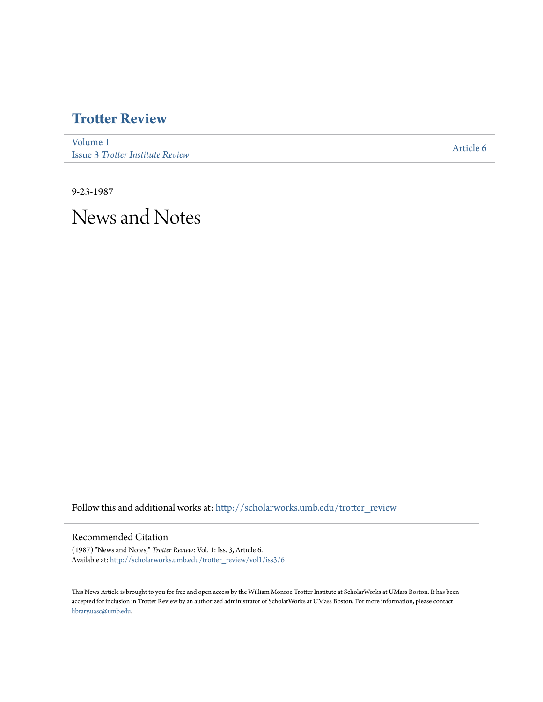### **[Trotter Review](http://scholarworks.umb.edu/trotter_review?utm_source=scholarworks.umb.edu%2Ftrotter_review%2Fvol1%2Fiss3%2F6&utm_medium=PDF&utm_campaign=PDFCoverPages)**

[Volume 1](http://scholarworks.umb.edu/trotter_review/vol1?utm_source=scholarworks.umb.edu%2Ftrotter_review%2Fvol1%2Fiss3%2F6&utm_medium=PDF&utm_campaign=PDFCoverPages) Issue 3 *[Trotter Institute Review](http://scholarworks.umb.edu/trotter_review/vol1/iss3?utm_source=scholarworks.umb.edu%2Ftrotter_review%2Fvol1%2Fiss3%2F6&utm_medium=PDF&utm_campaign=PDFCoverPages)*

[Article 6](http://scholarworks.umb.edu/trotter_review/vol1/iss3/6?utm_source=scholarworks.umb.edu%2Ftrotter_review%2Fvol1%2Fiss3%2F6&utm_medium=PDF&utm_campaign=PDFCoverPages)

9-23-1987 News and Notes

Follow this and additional works at: [http://scholarworks.umb.edu/trotter\\_review](http://scholarworks.umb.edu/trotter_review?utm_source=scholarworks.umb.edu%2Ftrotter_review%2Fvol1%2Fiss3%2F6&utm_medium=PDF&utm_campaign=PDFCoverPages)

#### Recommended Citation

(1987) "News and Notes," *Trotter Review*: Vol. 1: Iss. 3, Article 6. Available at: [http://scholarworks.umb.edu/trotter\\_review/vol1/iss3/6](http://scholarworks.umb.edu/trotter_review/vol1/iss3/6?utm_source=scholarworks.umb.edu%2Ftrotter_review%2Fvol1%2Fiss3%2F6&utm_medium=PDF&utm_campaign=PDFCoverPages)

This News Article is brought to you for free and open access by the William Monroe Trotter Institute at ScholarWorks at UMass Boston. It has been accepted for inclusion in Trotter Review by an authorized administrator of ScholarWorks at UMass Boston. For more information, please contact [library.uasc@umb.edu.](mailto:library.uasc@umb.edu)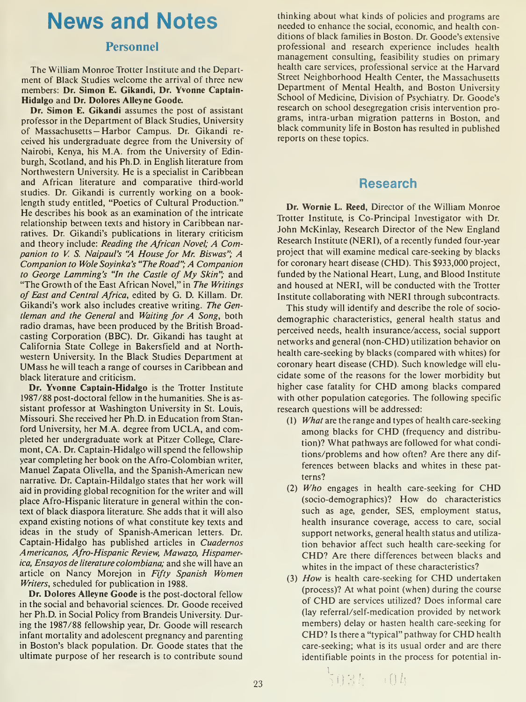# News and Notes

### Personnel

The William Monroe Trotter Institute and the Department of Black Studies welcome the arrival of three new members: Dr. Simon E. Gikandi, Dr. Yvonne Captain-Hidalgo and Dr. Dolores Alleyne Goode.

Dr. Simon E. Gikandi assumes the post of assistant professor in the Department of Black Studies, University of Massachusetts — Harbor Campus. Dr. Gikandi re ceived his undergraduate degree from the University of Nairobi, Kenya, his M.A. from the University of Edinburgh, Scotland, and his Ph.D. in English literature from Northwestern University. He is a specialist in Caribbean and African literature and comparative third-world studies. Dr. Gikandi is currently working on a booklength study entitled, "Poetics of Cultural Production." He describes his book as an examination of the intricate relationship between texts and history in Caribbean narratives. Dr. Gikandi's publications in literary criticism and theory include: Reading the African Novel; A Companion to V. S. Naipaul's "A House for Mr. Biswas"; A Companion to Wole Soyinka's "The Road"; A Companion to George Lamming's "In the Castle of My Skin"; and "The Growth of the East African Novel," in The Writings of East and Central Africa, edited by G. D. Killam. Dr. Gikandi's work also includes creative writing. The Gentleman and the General and Waiting for A Song, both radio dramas, have been produced by the British Broadcasting Corporation (BBC). Dr. Gikandi has taught at California State College in Bakersfield and at Northwestern University. In the Black Studies Department at UMass he will teach a range of courses in Caribbean and black literature and criticism.

Dr. Yvonne Captain-Hidalgo is the Trotter Institute 1987/88 post-doctoral fellow in the humanities. She is assistant professor at Washington University in St. Louis, Missouri. She received her Ph.D. in Education from Stanford University, her M.A. degree from UCLA, and completed her undergraduate work at Pitzer College, Claremont, CA. Dr. Captain-Hidalgo will spend the fellowship year completing her book on the Afro-Colombian writer, Manuel Zapata Olivella, and the Spanish-American new narrative. Dr. Captain-Hildalgo states that her work will aid in providing global recognition for the writer and will place Afro-Hispanic literature in general within the context of black diaspora literature. She adds that it will also expand existing notions of what constitute key texts and ideas in the study of Spanish-American letters. Dr. Captain-Hidalgo has published articles in Cuadernos Americanos, Afro-Hispanic Review, Mawazo, Hispamerica, Ensayos de literature colombiana; and she will have an article on Nancy Morejon in Fifty Spanish Women Writers, scheduled for publication in 1988.

Dr. Dolores Alleyne Goode is the post-doctoral fellow in the social and behavorial sciences. Dr. Goode received her Ph.D. in Social Policy from Brandeis University. During the 1987/88 fellowship year, Dr. Goode will research infant mortality and adolescent pregnancy and parenting in Boston's black population. Dr. Goode states that the ultimate purpose of her research is to contribute sound thinking about what kinds of policies and programs are needed to enhance the social, economic, and health conditions of black families in Boston. Dr. Goode's extensive professional and research experience includes health management consulting, feasibility studies on primary health care services, professional service at the Harvard Street Neighborhood Health Center, the Massachusetts Department of Mental Health, and Boston University School of Medicine, Division of Psychiatry. Dr. Goode's research on school desegregation crisis intervention programs, intra-urban migration patterns in Boston, and black community life in Boston has resulted in published reports on these topics.

## Research

Dr. Wornie L. Reed, Director of the William Monroe Trotter Institute, is Co-Principal Investigator with Dr. John McKinlay, Research Director of the New England Research Institute (NERI), of a recently funded four-year project that will examine medical care-seeking by blacks for coronary heart disease (CHD). This \$933,000 project, funded by the National Heart, Lung, and Blood Institute and housed at NERI, will be conducted with the Trotter Institute collaborating with NERI through subcontracts.

This study will identify and describe the role of sociodemographic characteristics, general health status and perceived needs, health insurance/access, social support networks and general (non-CHD) utilization behavior on health care-seeking by blacks (compared with whites) for coronary heart disease (CHD). Such knowledge will elucidate some of the reasons for the lower morbidity but higher case fatality for CHD among blacks compared with other population categories. The following specific research questions will be addressed:

- (1) What are the range and types of health care-seeking among blacks for CHD (frequency and distribution)? What pathways are followed for what conditions/problems and how often? Are there any differences between blacks and whites in these patterns?
- (2) Who engages in health care-seeking for CHD (socio-demographics)? How do characteristics such as age, gender, SES, employment status, health insurance coverage, access to care, social support networks, general health status and utilization behavior affect such health care-seeking for CHD? Are there differences between blacks and whites in the impact of these characteristics?
- (3) How is health care-seeking for CHD undertaken (process)? At what point (when) during the course of CHD are services utilized? Does informal care (lay referral/self-medication provided by network members) delay or hasten health care-seeking for CHD? Is there <sup>a</sup> "typical" pathway for CHD health care-seeking; what is its usual order and are there identifiable points in the process for potential in-

 $3035 - 04$